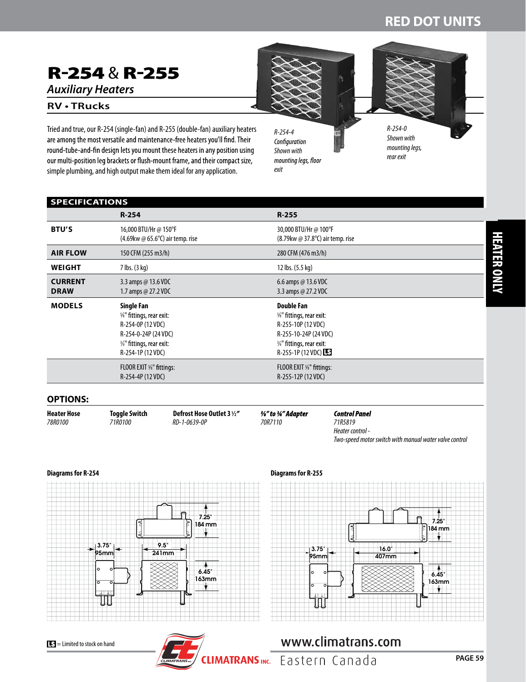## **RED DOT UNITS**

# R-254 & R-255

*Auxiliary Heaters*

**SPECIFICATIONS**

### **RV • TRucks**

Tried and true, our R-254 (single-fan) and R-255 (double-fan) auxiliary heaters are among the most versatile and maintenance-free heaters you'll find. Their round-tube-and-fin design lets you mount these heaters in any position using our multi-position leg brackets or flush-mount frame, and their compact size, simple plumbing, and high output make them ideal for any application.

*R-254-4*  Configuration *Shown with*  mounting legs, floor *exit*

318

*R-254-0 Shown with mounting legs, rear exit*

| $R - 254$<br>$R - 255$<br><b>BTU'S</b><br>16,000 BTU/Hr @ 150°F<br>30,000 BTU/Hr @ 100°F<br>$(4.69 \text{kw} \oslash 65.6^{\circ}\text{C})$ air temp. rise<br>$(8.79 \text{kw} \text{ @ } 37.8^{\circ}\text{C})$ air temp. rise<br><b>AIR FLOW</b><br>150 CFM (255 m3/h)<br>280 CFM (476 m3/h)<br>7 lbs. (3 kg)<br>12 lbs. (5.5 kg)<br><b>WEIGHT</b><br><b>CURRENT</b><br>3.3 amps $@$ 13.6 VDC<br>6.6 amps @ 13.6 VDC<br><b>DRAW</b><br>1.7 amps @ 27.2 VDC<br>3.3 amps @ 27.2 VDC<br><b>MODELS</b><br><b>Single Fan</b><br><b>Double Fan</b><br>%" fittings, rear exit:<br>%" fittings, rear exit:<br>R-254-0P (12 VDC)<br>R-255-10P (12 VDC)<br>R-254-0-24P (24 VDC)<br>R-255-10-24P (24 VDC)<br>3/4" fittings, rear exit:<br>3/4" fittings, rear exit:<br>R-255-1P (12 VDC)<br>R-254-1P (12 VDC)<br>FLOOR EXIT %" fittings:<br>FLOOR EXIT %" fittings:<br>R-254-4P (12 VDC)<br>R-255-12P (12 VDC) |  |  |
|-------------------------------------------------------------------------------------------------------------------------------------------------------------------------------------------------------------------------------------------------------------------------------------------------------------------------------------------------------------------------------------------------------------------------------------------------------------------------------------------------------------------------------------------------------------------------------------------------------------------------------------------------------------------------------------------------------------------------------------------------------------------------------------------------------------------------------------------------------------------------------------------------------|--|--|
|                                                                                                                                                                                                                                                                                                                                                                                                                                                                                                                                                                                                                                                                                                                                                                                                                                                                                                       |  |  |
|                                                                                                                                                                                                                                                                                                                                                                                                                                                                                                                                                                                                                                                                                                                                                                                                                                                                                                       |  |  |
|                                                                                                                                                                                                                                                                                                                                                                                                                                                                                                                                                                                                                                                                                                                                                                                                                                                                                                       |  |  |
|                                                                                                                                                                                                                                                                                                                                                                                                                                                                                                                                                                                                                                                                                                                                                                                                                                                                                                       |  |  |
|                                                                                                                                                                                                                                                                                                                                                                                                                                                                                                                                                                                                                                                                                                                                                                                                                                                                                                       |  |  |
|                                                                                                                                                                                                                                                                                                                                                                                                                                                                                                                                                                                                                                                                                                                                                                                                                                                                                                       |  |  |
|                                                                                                                                                                                                                                                                                                                                                                                                                                                                                                                                                                                                                                                                                                                                                                                                                                                                                                       |  |  |

### **OPTIONS:**

**Heater Hose Toggle Switch Defrost Hose Outlet 3 1 ⁄2** *78R0100 71R0100 RD-1-0639-0P 70R7110 71R5819* 

%" to 34" Adapter

**Control Panel** *Heater control - Two-speed motor switch with manual water valve control*

#### **Diagrams for R-254**



### **Diagrams for R-255**







## www.climatrans.com CLIMATRANS INC. Eastern Canada

**PAGE 59**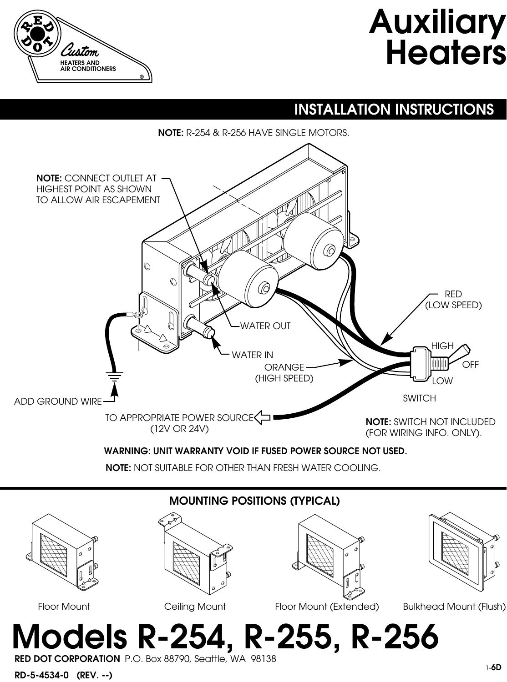# **Auxiliary Heaters**



## **INSTALLATION INSTRUCTIONS**

**NOTE:** R-254 & R-256 HAVE SINGLE MOTORS.



**WARNING: UNIT WARRANTY VOID IF FUSED POWER SOURCE NOT USED.**

**NOTE:** NOT SUITABLE FOR OTHER THAN FRESH WATER COOLING.



**RED DOT CORPORATION** P.O. Box 88790, Seattle, WA 98138

**RD-5-4534-0 (REV. --)**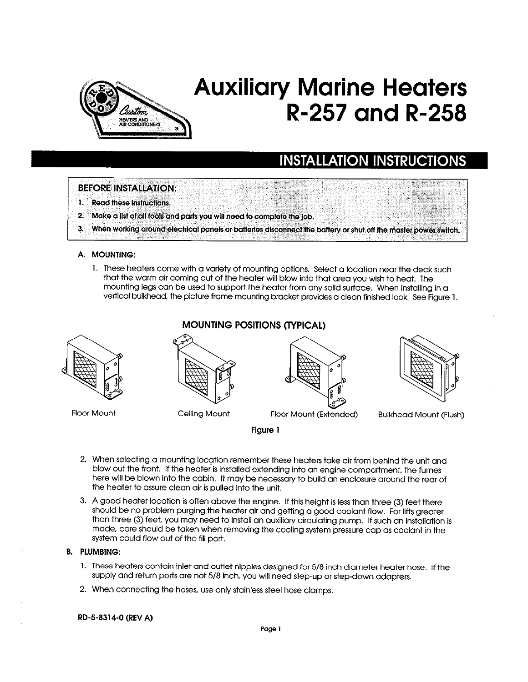

# **Auxiliary Marine Heaters R-257 and R-258**

## **INSTALLATION INSTRUCTIONS**

### **BEFORE INSTALLATION:**

- 13 **Read these instructions.**
- 2. Make a list of all tools and parts you will need to complete the job.
- 3. When working around electrical panels or batteries disconnect the battery or shut off the master power switch.

### A. MOUNTING:

1. These heaters come with a variety of mounting options. Select a location near the deck such that the warm air coming out of the heater will blow into that area you wish to heat. The mounting legs can be used to support the heater from any solid surface. When installing in a vertical bulkhead, the picture frame mounting bracket provides a clean finished look. See Figure 1.



**MOUNTING POSITIONS (TYPICAL)** 



- 2. When selecting a mounting location remember these heaters take air from behind the unit and blow out the front. If the heater is installed extending into an engine compartment, the fumes here will be blown into the cabin. It may be necessary to build an enclosure around the rear of the heater to assure clean air is pulled into the unit.
- 3. A good heater location is often above the engine. If this height is less than three (3) feet there should be no problem purging the heater air and getting a good coolant flow. For lifts greater than three (3) feet, you may need to install an auxiliary circulating pump. If such an installation is made, care should be taken when removing the cooling system pressure cap as coolant in the system could flow out of the fill port.

### **B. PLUMBING:**

- 1. These heaters contain inlet and outlet nipples designed for 5/8 inch diameter heater hose. If the supply and return ports are not 5/8 inch, you will need step-up or step-down adapters.
- 2. When connecting the hoses, use only stainless steel hose clamps.

#### RD-5-8314-0 (REV A)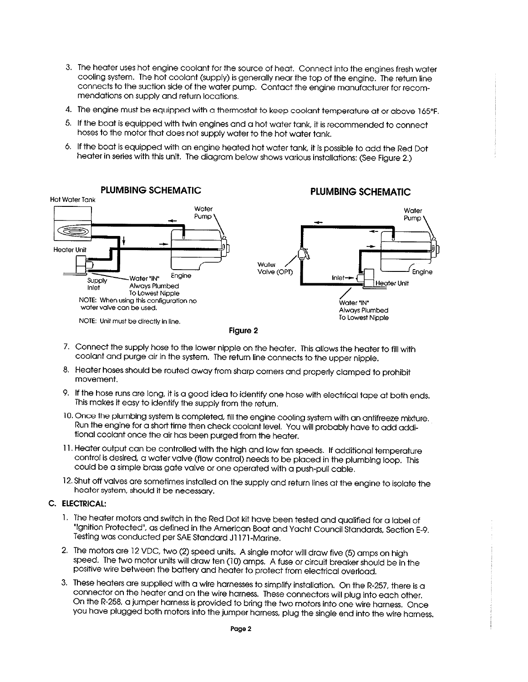- 3. The heater uses hot engine coolant for the source of heat. Connect into the engines fresh water cooling system. The hot coolant (supply) is generally near the top of the engine. The return line connects to the suction side of the water pump. Contact the engine manufacturer for recommendations on supply and return locations.
- 4. The engine must be equipped with a thermostat to keep coolant temperature at or above 165°F.
- 5. If the boat is equipped with twin engines and a hot water tank, it is recommended to connect hoses to the motor that does not supply water to the hot water tank.
- 6. If the boat is equipped with an engine heated hot water tank, it is possible to add the Red Dot heater in series with this unit. The diagram below shows various installations: (See Figure 2.)



- 7. Connect the supply hose to the lower nipple on the heater. This allows the heater to fill with coolant and purge air in the system. The return line connects to the upper nipple.
- 8. Heater hoses should be routed away from sharp corners and properly clamped to prohibit movement.
- 9. If the hose runs are long, it is a good idea to identify one hose with electrical tape at both ends. This makes it easy to identify the supply from the return.
- 10. Once the plumbing system is completed, fill the engine cooling system with an antifreeze mixture. Run the engine for a short time then check coolant level. You will probably have to add additional coolant once the air has been purged from the heater.
- 11. Heater output can be controlled with the high and low fan speeds. If additional temperature control is desired, a water valve (flow control) needs to be placed in the plumbing loop. This could be a simple brass gate valve or one operated with a push-pull cable.
- 12. Shut off valves are sometimes installed on the supply and return lines at the engine to isolate the heater system, should it be necessary.

### C. ELECTRICAL:

- 1. The heater motors and switch in the Red Dot kit have been tested and qualified for a label of "Ignition Protected", as defined in the American Boat and Yacht Council Standards, Section E-9. Testing was conducted per SAE Standard J1171-Marine.
- 2. The motors are 12 VDC, two (2) speed units. A single motor will draw five (5) amps on high speed. The two motor units will draw ten (10) amps. A fuse or circuit breaker should be in the positive wire between the battery and heater to protect from electrical overload.
- 3. These heaters are supplied with a wire harnesses to simplify installation. On the R-257, there is a connector on the heater and on the wire harness. These connectors will plug into each other. On the R-258, a jumper harness is provided to bring the two motors into one wire harness. Once you have plugged both motors into the jumper harness, plug the single end into the wire harness.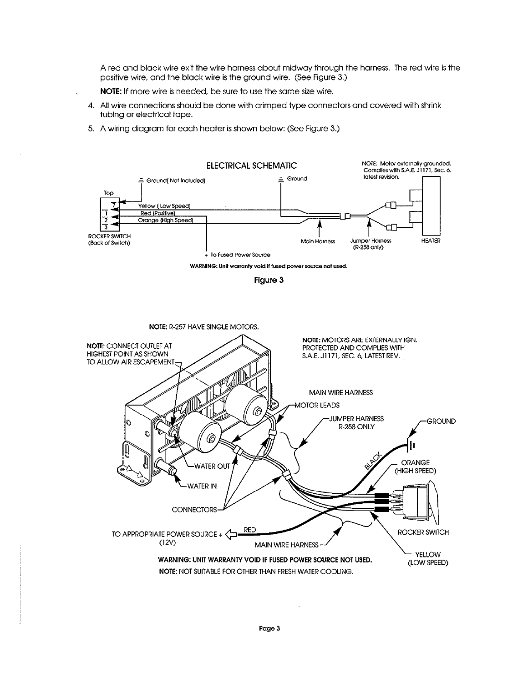A red and black wire exit the wire harness about midway through the harness. The red wire is the positive wire, and the black wire is the ground wire. (See Figure 3.)

- NOTE: If more wire is needed, be sure to use the same size wire.
- 4. All wire connections should be done with crimped type connectors and covered with shrink tubing or electrical tape.
- 5. A wiring diagram for each heater is shown below: (See Figure 3.)

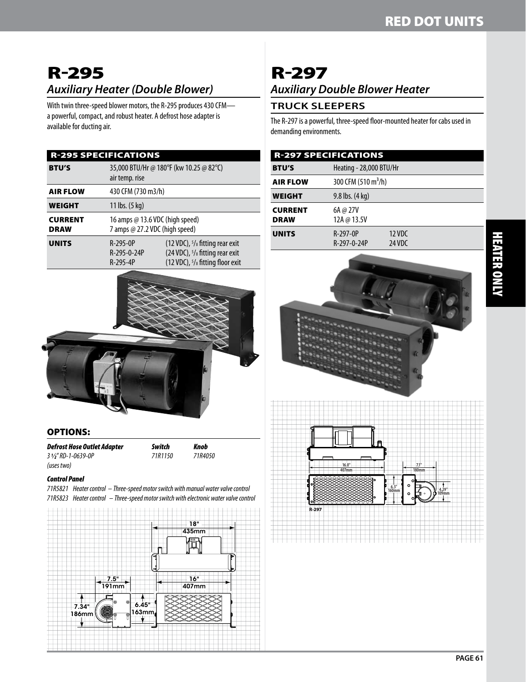## R-295 *Auxiliary Heater (Double Blower)*

With twin three-speed blower motors, the R-295 produces 430 CFM a powerful, compact, and robust heater. A defrost hose adapter is available for ducting air.

| <b>R-295 SPECIFICATIONS</b>   |                                                                   |                                                                                                                                                        |  |
|-------------------------------|-------------------------------------------------------------------|--------------------------------------------------------------------------------------------------------------------------------------------------------|--|
| <b>BTU'S</b>                  | 35,000 BTU/Hr @ 180°F (kw 10.25 @ 82°C)<br>air temp. rise         |                                                                                                                                                        |  |
| <b>AIR FLOW</b>               | 430 CFM (730 m3/h)                                                |                                                                                                                                                        |  |
| <b>WEIGHT</b>                 | 11 lbs. (5 kg)                                                    |                                                                                                                                                        |  |
| <b>CURRENT</b><br><b>DRAW</b> | 16 amps @ 13.6 VDC (high speed)<br>7 amps @ 27.2 VDC (high speed) |                                                                                                                                                        |  |
| <b>UNITS</b>                  | $R-295-0P$<br>R-295-0-24P<br>$R-295-4P$                           | (12 VDC), 5/8 fitting rear exit<br>(24 VDC), <sup>5</sup> / <sub>8</sub> fitting rear exit<br>(12 VDC), <sup>5</sup> / <sub>8</sub> fitting floor exit |  |



### OPTIONS:

*Defrost Hose Outlet Adapter Switch Knob 3 1⁄2" RD-1-0639-0P 71R1150 71R4050*

### *Control Panel*

*71R5821 Heater control – Three-speed motor switch with manual water valve control 71R5823 Heater control – Three-speed motor switch with electronic water valve control*



# R-297 *Auxiliary Double Blower Heater*

## **Truck sleepers**

R-297

The R-297 is a powerful, three-speed floor-mounted heater for cabs used in demanding environments.

| <b>R-297 SPECIFICATIONS</b>   |                                 |                  |  |
|-------------------------------|---------------------------------|------------------|--|
| <b>BTU'S</b>                  | Heating - 28,000 BTU/Hr         |                  |  |
| <b>AIR FLOW</b>               | 300 CFM (510 m <sup>3</sup> /h) |                  |  |
| <b>WEIGHT</b>                 | $9.8$ lbs. $(4 \text{ kg})$     |                  |  |
| <b>CURRENT</b><br><b>DRAW</b> | 6A @ 27V<br>12A @ 13.5V         |                  |  |
| <b>UNITS</b>                  | $R-297-0P$<br>R-297-0-24P       | 12 VDC<br>24 VDC |  |



**6.3"**

**160mm 4.29"**

**109mm**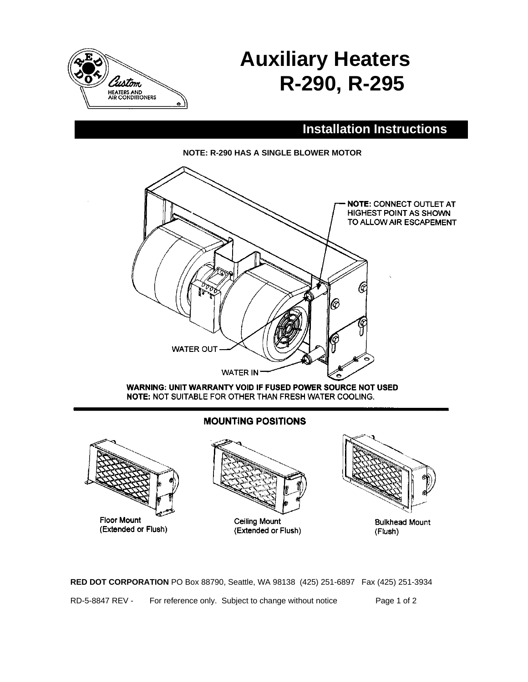

# **Auxiliary Heaters R-290, R-295**

## **Installation Instructions**





**WARNING: UNIT WARRANTY VOID IF FUSED POWER SOURCE NOT USED** NOTE: NOT SUITABLE FOR OTHER THAN FRESH WATER COOLING.

## **MOUNTING POSITIONS**



**RED DOT CORPORATION** PO Box 88790, Seattle, WA 98138 (425) 251-6897 Fax (425) 251-3934 RD-5-8847 REV - For reference only. Subject to change without notice Page 1 of 2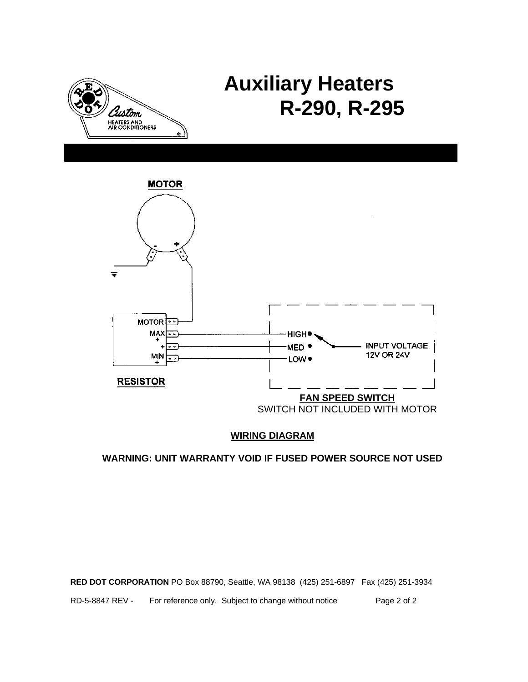

# **Auxiliary Heaters R-290, R-295**



## **WIRING DIAGRAM**

## **WARNING: UNIT WARRANTY VOID IF FUSED POWER SOURCE NOT USED**

**RED DOT CORPORATION** PO Box 88790, Seattle, WA 98138 (425) 251-6897 Fax (425) 251-3934

RD-5-8847 REV - For reference only. Subject to change without notice Page 2 of 2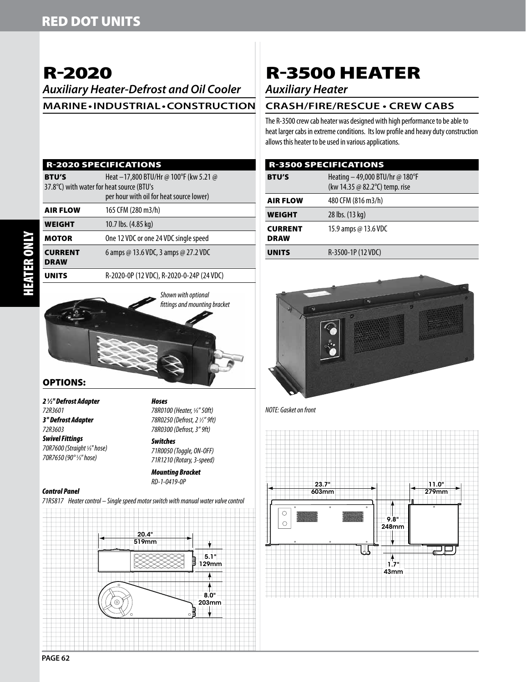# R-2020

*Auxiliary Heater-Defrost and Oil Cooler* **Marine • Industrial • Construction**

### R-2020 SPECIFICATIONS

**BTU'S** Heat –17,800 BTU/Hr @ 100°F (kw 5.21 @ 37.8°C) with water for heat source (BTU's per hour with oil for heat source lower) **AIR FLOW** 165 CFM (280 m3/h)

|                               | $D = 2020$ $AD = 1421$ $IDC$ $D = 2020$ $D = 21D$ $(D + 1)DC$ |
|-------------------------------|---------------------------------------------------------------|
| <b>CURRENT</b><br><b>DRAW</b> | 6 amps @ 13.6 VDC, 3 amps @ 27.2 VDC                          |
| <b>MOTOR</b>                  | One 12 VDC or one 24 VDC single speed                         |
| <b>WEIGHT</b>                 | 10.7 lbs. (4.85 kg)                                           |
| AIN FLVW                      | ווו <i>וכ</i> ווו טט∠ו ואו וט כטו                             |

Units R-2020-0P (12 VDC), R-2020-0-24P (24 VDC)



*Hoses*

## OPTIONS:

*2 1 ⁄2'' Defrost Adapter 72R3601 3'' Defrost Adapter 72R3603*

*Swivel Fittings 70R7600 (Straight 5 ⁄8'' hose) 70R7650 (90° 5 ⁄8'' hose)* 

*78R0250 (Defrost, 2 1 ⁄2" 9ft) 78R0300 (Defrost, 3" 9ft) Switches*

*78R0100 (Heater, 5 ⁄8" 50ft)*

*71R0050 (Toggle, ON-OFF) 71R1210 (Rotary, 3-speed)*

*Mounting Bracket RD-1-0419-0P*

#### *Control Panel*

*71R5817 Heater control – Single speed motor switch with manual water valve control*



# R-3500 HEATER

## *Auxiliary Heater*

## **Crash/Fire/Rescue • Crew Cabs**

The R-3500 crew cab heater was designed with high performance to be able to heat larger cabs in extreme conditions. Its low profile and heavy duty construction allows this heater to be used in various applications.

|                               | <b>R-3500 SPECIFICATIONS</b>                                      |
|-------------------------------|-------------------------------------------------------------------|
| <b>BTU'S</b>                  | Heating - 49,000 BTU/hr @ 180°F<br>(kw 14.35 @ 82.2°C) temp. rise |
| <b>AIR FLOW</b>               | 480 CFM (816 m3/h)                                                |
| <b>WEIGHT</b>                 | 28 lbs. (13 kg)                                                   |
| <b>CURRENT</b><br><b>DRAW</b> | 15.9 amps @ 13.6 VDC                                              |
| <b>UNITS</b>                  | R-3500-1P (12 VDC)                                                |



*NOTE: Gasket on front*



 HEATER ONLY **TER ONLY**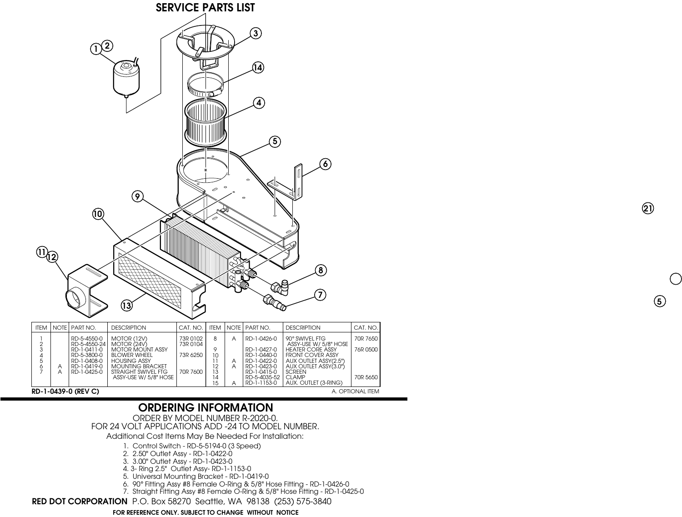

## **RD-1-0439-0 (REV C)**

A. OPTIONAL ITEM

## **ORDERING INFORMATION**

ORDER BY MODEL NUMBER R-2020-0. FOR 24 VOLT APPLICATIONS ADD -24 TO MODEL NUMBER. Additional Cost Items May Be Needed For Installation:

- 1. Control Switch RD-5-5194-0 (3 Speed)
- 2. 2.50" Outlet Assy RD-1-0422-0
- 3. 3.00" Outlet Assy RD-1-0423-0
- 4. 3- Ring 2.5" Outlet Assy- RD-1-1153-0
- 5. Universal Mounting Bracket RD-1-0419-0
- 6. 90° Fitting Assy #8 Female O-Ring & 5/8" Hose Fitting RD-1-0426-0
- 7. Straight Fitting Assy #8 Female O-Ring & 5/8" Hose Fitting RD-1-0425-0

**RED DOT CORPORATION** P.O. Box 58270 Seattle, WA 98138 (253) 575-3840

### **FOR REFERENCE ONLY. SUBJECT TO CHANGE WITHOUT NOTICE**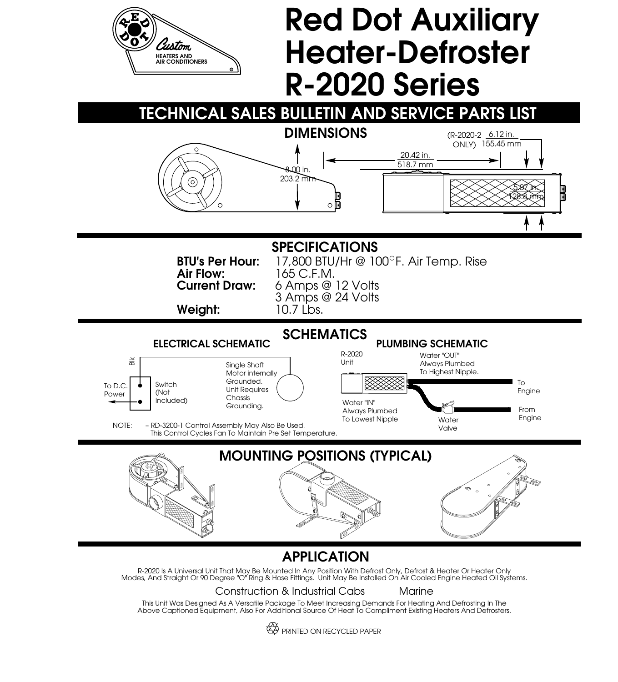

ES PRINTED ON RECYCLED PAPER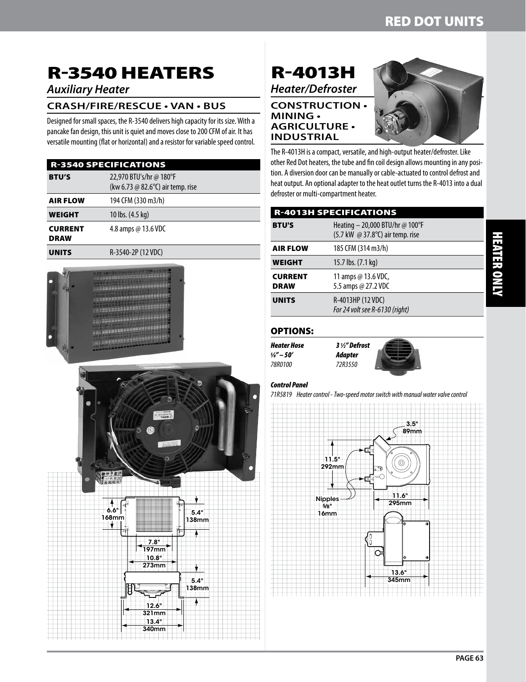# R-3540 HEATERS

## *Auxiliary Heater*

## **Crash/Fire/Rescue • Van • Bus**

Designed for small spaces, the R-3540 delivers high capacity for its size. With a pancake fan design, this unit is quiet and moves close to 200 CFM of air. It has versatile mounting (flat or horizontal) and a resistor for variable speed control.

|                               | <b>R-3540 SPECIFICATIONS</b>                                 |
|-------------------------------|--------------------------------------------------------------|
| <b>BTU'S</b>                  | 22,970 BTU's/hr @ 180°F<br>(kw 6.73 @ 82.6°C) air temp. rise |
| <b>AIR FLOW</b>               | 194 CFM (330 m3/h)                                           |
| <b>WEIGHT</b>                 | 10 lbs. (4.5 kg)                                             |
| <b>CURRENT</b><br><b>DRAW</b> | 4.8 amps $\omega$ 13.6 VDC                                   |
| <b>UNITS</b>                  | R-3540-2P (12 VDC)                                           |



## R-4013H *Heater/Defroster*

## **Construction • Mining • Agriculture • Industrial**



The R-4013H is a compact, versatile, and high-output heater/defroster. Like other Red Dot heaters, the tube and fin coil design allows mounting in any position. A diversion door can be manually or cable-actuated to control defrost and heat output. An optional adapter to the heat outlet turns the R-4013 into a dual defroster or multi-compartment heater.

|                               | <b>R-4013H SPECIFICATIONS</b>                                       |
|-------------------------------|---------------------------------------------------------------------|
| <b>BTU'S</b>                  | Heating - 20,000 BTU/hr @ 100°F<br>(5.7 kW @ 37.8°C) air temp. rise |
| <b>AIR FLOW</b>               | 185 CFM (314 m3/h)                                                  |
| <b>WEIGHT</b>                 | 15.7 lbs. (7.1 kg)                                                  |
| <b>CURRENT</b><br><b>DRAW</b> | 11 amps @ $13.6$ VDC,<br>5.5 amps @ 27.2 VDC                        |
| <b>UNITS</b>                  | R-4013HP (12 VDC)<br>For 24 volt see R-6130 (right)                 |

## OPTIONS:

*Heater Hose 3 1 ⁄2" Defrost 5 78R0100 72R3550*



## *Control Panel*

*71R5819 Heater control - Two-speed motor switch with manual water valve control*

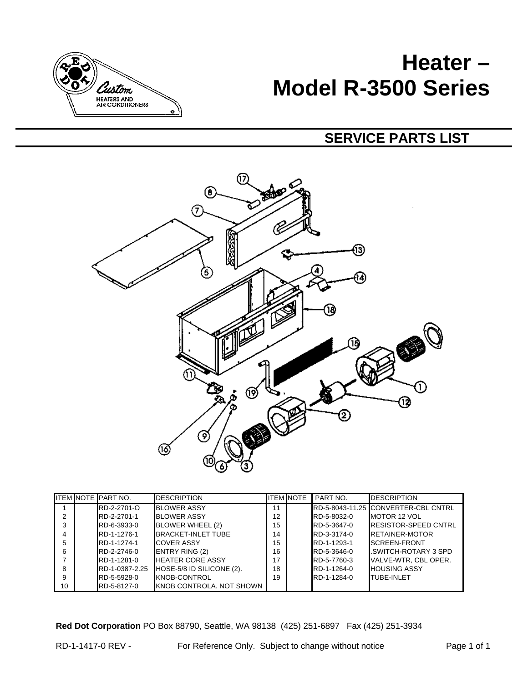

# **Heater – Model R-3500 Series**

## **SERVICE PARTS LIST**



|    | <b>ITEM NOTE PART NO.</b> | <b>DESCRIPTION</b>        |    | <b>ITEM NOTE</b> | PART NO.    | <b>DESCRIPTION</b>                  |
|----|---------------------------|---------------------------|----|------------------|-------------|-------------------------------------|
|    | RD-2-2701-O               | <b>BLOWER ASSY</b>        | 11 |                  |             | RD-5-8043-11.25 CONVERTER-CBL CNTRL |
| 2  | RD-2-2701-1               | <b>BLOWER ASSY</b>        | 12 |                  | RD-5-8032-0 | <b>IMOTOR 12 VOL</b>                |
| 3  | RD-6-3933-0               | BLOWER WHEEL (2)          | 15 |                  | RD-5-3647-0 | <b>RESISTOR-SPEED CNTRL</b>         |
| 4  | RD-1-1276-1               | <b>BRACKET-INLET TUBE</b> | 14 |                  | RD-3-3174-0 | <b>RETAINER-MOTOR</b>               |
| 5  | RD-1-1274-1               | <b>COVER ASSY</b>         | 15 |                  | RD-1-1293-1 | <b>ISCREEN-FRONT</b>                |
| 6  | RD-2-2746-0               | <b>ENTRY RING (2)</b>     | 16 |                  | RD-5-3646-0 | .SWITCH-ROTARY 3 SPD                |
|    | RD-1-1281-0               | <b>HEATER CORE ASSY</b>   | 17 |                  | RD-5-7760-3 | VALVE-WTR, CBL OPER.                |
| 8  | RD-1-0387-2.25            | HOSE-5/8 ID SILICONE (2). | 18 |                  | RD-1-1264-0 | <b>HOUSING ASSY</b>                 |
| 9  | RD-5-5928-0               | KNOB-CONTROL              | 19 |                  | RD-1-1284-0 | TUBE-INI FT                         |
| 10 | RD-5-8127-0               | KNOB CONTROLA. NOT SHOWN  |    |                  |             |                                     |

**Red Dot Corporation** PO Box 88790, Seattle, WA 98138 (425) 251-6897 Fax (425) 251-3934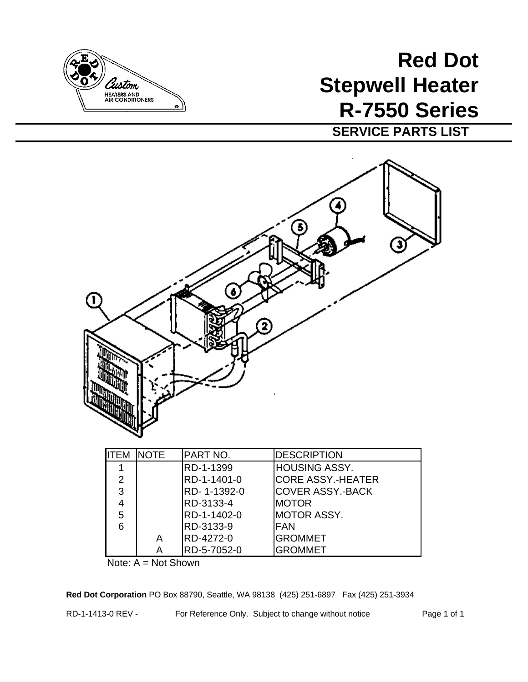

# **Red Dot Stepwell Heater R-7550 Series**

**SERVICE PARTS LIST**



Note: A = Not Shown

**Red Dot Corporation** PO Box 88790, Seattle, WA 98138 (425) 251-6897 Fax (425) 251-3934

RD-1-1413-0 REV - For Reference Only. Subject to change without notice Page 1 of 1